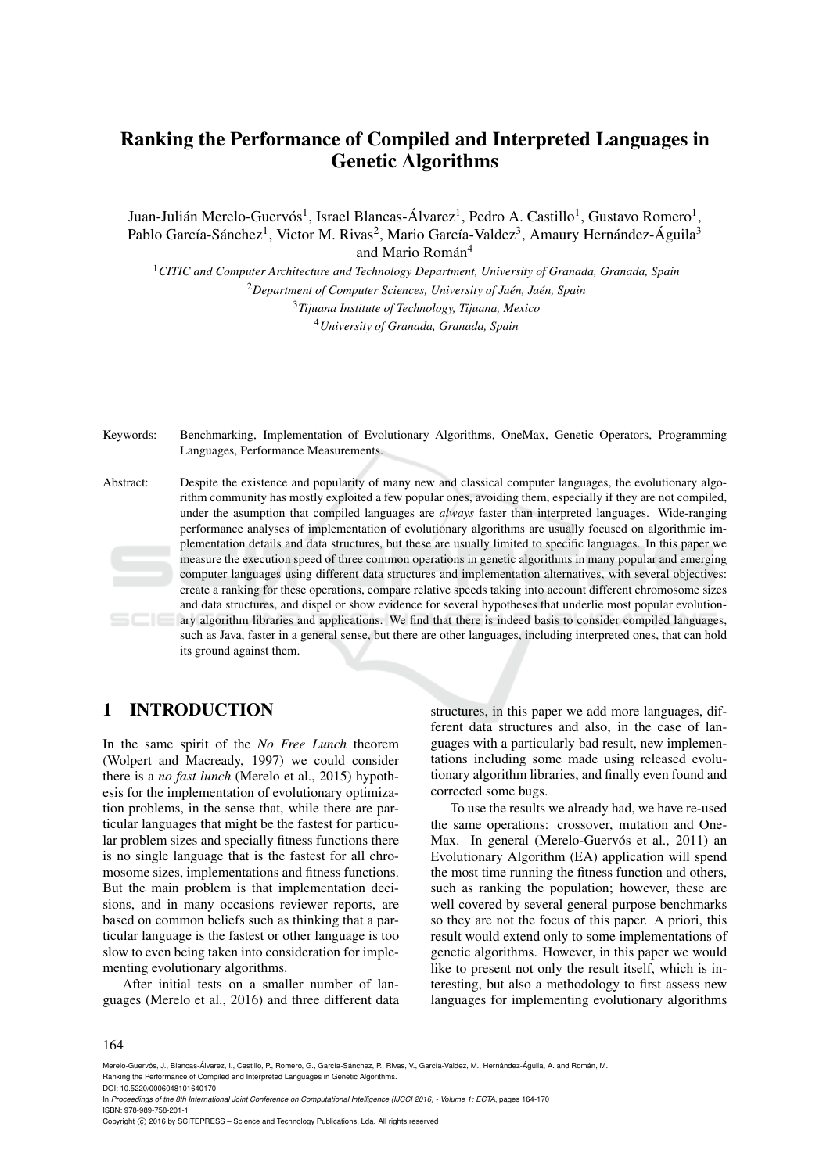# Ranking the Performance of Compiled and Interpreted Languages in Genetic Algorithms

Juan-Julián Merelo-Guervós<sup>1</sup>, Israel Blancas-Álvarez<sup>1</sup>, Pedro A. Castillo<sup>1</sup>, Gustavo Romero<sup>1</sup>, Pablo García-Sánchez<sup>1</sup>, Victor M. Rivas<sup>2</sup>, Mario García-Valdez<sup>3</sup>, Amaury Hernández-Águila<sup>3</sup> and Mario Román<sup>4</sup>

*CITIC and Computer Architecture and Technology Department, University of Granada, Granada, Spain* <sup>2</sup>Department of Computer Sciences, University of Jaén, Jaén, Spain *Tijuana Institute of Technology, Tijuana, Mexico University of Granada, Granada, Spain*

Keywords: Benchmarking, Implementation of Evolutionary Algorithms, OneMax, Genetic Operators, Programming Languages, Performance Measurements.

Abstract: Despite the existence and popularity of many new and classical computer languages, the evolutionary algorithm community has mostly exploited a few popular ones, avoiding them, especially if they are not compiled, under the asumption that compiled languages are *always* faster than interpreted languages. Wide-ranging performance analyses of implementation of evolutionary algorithms are usually focused on algorithmic implementation details and data structures, but these are usually limited to specific languages. In this paper we measure the execution speed of three common operations in genetic algorithms in many popular and emerging computer languages using different data structures and implementation alternatives, with several objectives: create a ranking for these operations, compare relative speeds taking into account different chromosome sizes and data structures, and dispel or show evidence for several hypotheses that underlie most popular evolutionary algorithm libraries and applications. We find that there is indeed basis to consider compiled languages, such as Java, faster in a general sense, but there are other languages, including interpreted ones, that can hold its ground against them.

# 1 INTRODUCTION

In the same spirit of the *No Free Lunch* theorem (Wolpert and Macready, 1997) we could consider there is a *no fast lunch* (Merelo et al., 2015) hypothesis for the implementation of evolutionary optimization problems, in the sense that, while there are particular languages that might be the fastest for particular problem sizes and specially fitness functions there is no single language that is the fastest for all chromosome sizes, implementations and fitness functions. But the main problem is that implementation decisions, and in many occasions reviewer reports, are based on common beliefs such as thinking that a particular language is the fastest or other language is too slow to even being taken into consideration for implementing evolutionary algorithms.

After initial tests on a smaller number of languages (Merelo et al., 2016) and three different data

structures, in this paper we add more languages, different data structures and also, in the case of languages with a particularly bad result, new implementations including some made using released evolutionary algorithm libraries, and finally even found and corrected some bugs.

To use the results we already had, we have re-used the same operations: crossover, mutation and One-Max. In general (Merelo-Guervós et al., 2011) an Evolutionary Algorithm (EA) application will spend the most time running the fitness function and others, such as ranking the population; however, these are well covered by several general purpose benchmarks so they are not the focus of this paper. A priori, this result would extend only to some implementations of genetic algorithms. However, in this paper we would like to present not only the result itself, which is interesting, but also a methodology to first assess new languages for implementing evolutionary algorithms

#### 164

In *Proceedings of the 8th International Joint Conference on Computational Intelligence (IJCCI 2016) - Volume 1: ECTA*, pages 164-170 ISBN: 978-989-758-201-1

Merelo-Guervós, J., Blancas-Álvarez, I., Castillo, P., Romero, G., García-Sánchez, P., Rivas, V., García-Valdez, M., Hernández-Águila, A. and Román, M. Ranking the Performance of Compiled and Interpreted Languages in Genetic Algorithms. DOI: 10.5220/0006048101640170

Copyright © 2016 by SCITEPRESS - Science and Technology Publications, Lda. All rights reserved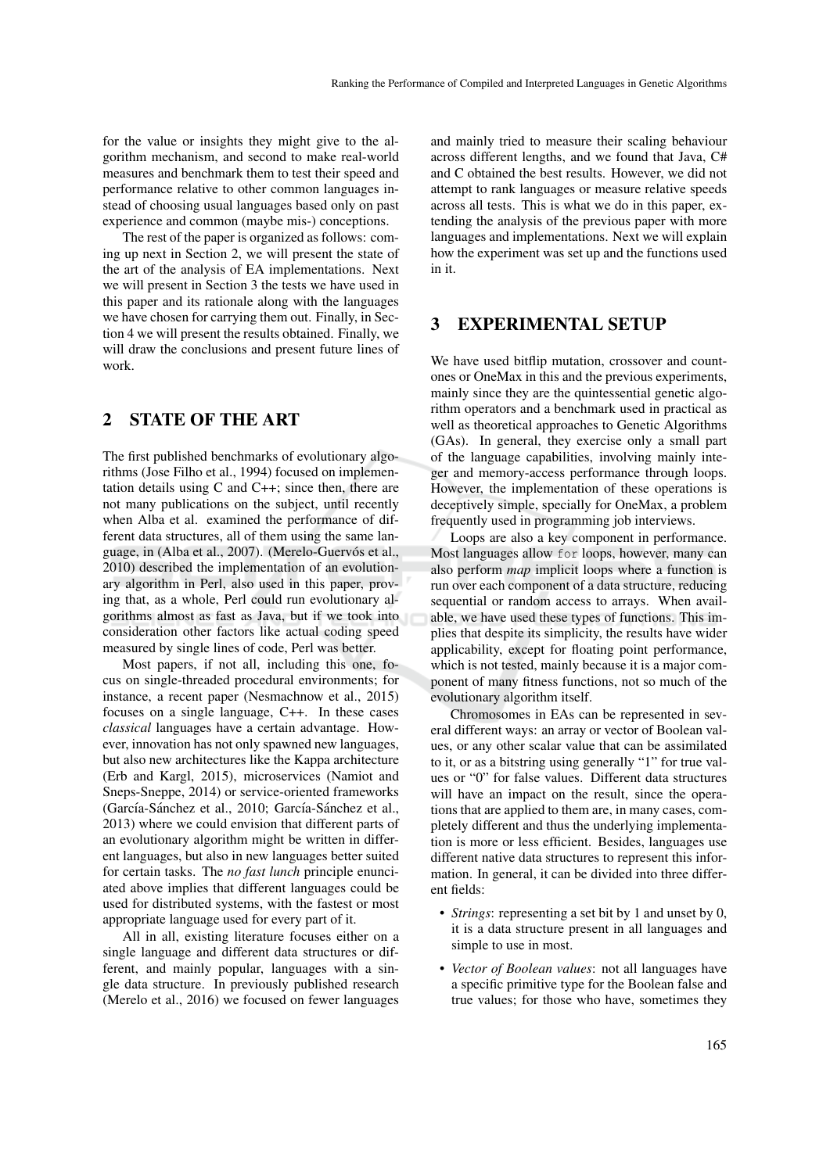for the value or insights they might give to the algorithm mechanism, and second to make real-world measures and benchmark them to test their speed and performance relative to other common languages instead of choosing usual languages based only on past experience and common (maybe mis-) conceptions.

The rest of the paper is organized as follows: coming up next in Section 2, we will present the state of the art of the analysis of EA implementations. Next we will present in Section 3 the tests we have used in this paper and its rationale along with the languages we have chosen for carrying them out. Finally, in Section 4 we will present the results obtained. Finally, we will draw the conclusions and present future lines of work.

# 2 STATE OF THE ART

The first published benchmarks of evolutionary algorithms (Jose Filho et al., 1994) focused on implementation details using C and C++; since then, there are not many publications on the subject, until recently when Alba et al. examined the performance of different data structures, all of them using the same language, in (Alba et al., 2007). (Merelo-Guervós et al., 2010) described the implementation of an evolutionary algorithm in Perl, also used in this paper, proving that, as a whole, Perl could run evolutionary algorithms almost as fast as Java, but if we took into consideration other factors like actual coding speed measured by single lines of code, Perl was better.

Most papers, if not all, including this one, focus on single-threaded procedural environments; for instance, a recent paper (Nesmachnow et al., 2015) focuses on a single language, C++. In these cases *classical* languages have a certain advantage. However, innovation has not only spawned new languages, but also new architectures like the Kappa architecture (Erb and Kargl, 2015), microservices (Namiot and Sneps-Sneppe, 2014) or service-oriented frameworks (García-Sánchez et al., 2010; García-Sánchez et al., 2013) where we could envision that different parts of an evolutionary algorithm might be written in different languages, but also in new languages better suited for certain tasks. The *no fast lunch* principle enunciated above implies that different languages could be used for distributed systems, with the fastest or most appropriate language used for every part of it.

All in all, existing literature focuses either on a single language and different data structures or different, and mainly popular, languages with a single data structure. In previously published research (Merelo et al., 2016) we focused on fewer languages

and mainly tried to measure their scaling behaviour across different lengths, and we found that Java, C# and C obtained the best results. However, we did not attempt to rank languages or measure relative speeds across all tests. This is what we do in this paper, extending the analysis of the previous paper with more languages and implementations. Next we will explain how the experiment was set up and the functions used in it.

### 3 EXPERIMENTAL SETUP

We have used bitflip mutation, crossover and countones or OneMax in this and the previous experiments, mainly since they are the quintessential genetic algorithm operators and a benchmark used in practical as well as theoretical approaches to Genetic Algorithms (GAs). In general, they exercise only a small part of the language capabilities, involving mainly integer and memory-access performance through loops. However, the implementation of these operations is deceptively simple, specially for OneMax, a problem frequently used in programming job interviews.

Loops are also a key component in performance. Most languages allow for loops, however, many can also perform *map* implicit loops where a function is run over each component of a data structure, reducing sequential or random access to arrays. When available, we have used these types of functions. This implies that despite its simplicity, the results have wider applicability, except for floating point performance, which is not tested, mainly because it is a major component of many fitness functions, not so much of the evolutionary algorithm itself.

Chromosomes in EAs can be represented in several different ways: an array or vector of Boolean values, or any other scalar value that can be assimilated to it, or as a bitstring using generally "1" for true values or "0" for false values. Different data structures will have an impact on the result, since the operations that are applied to them are, in many cases, completely different and thus the underlying implementation is more or less efficient. Besides, languages use different native data structures to represent this information. In general, it can be divided into three different fields:

- *Strings*: representing a set bit by 1 and unset by 0, it is a data structure present in all languages and simple to use in most.
- *Vector of Boolean values*: not all languages have a specific primitive type for the Boolean false and true values; for those who have, sometimes they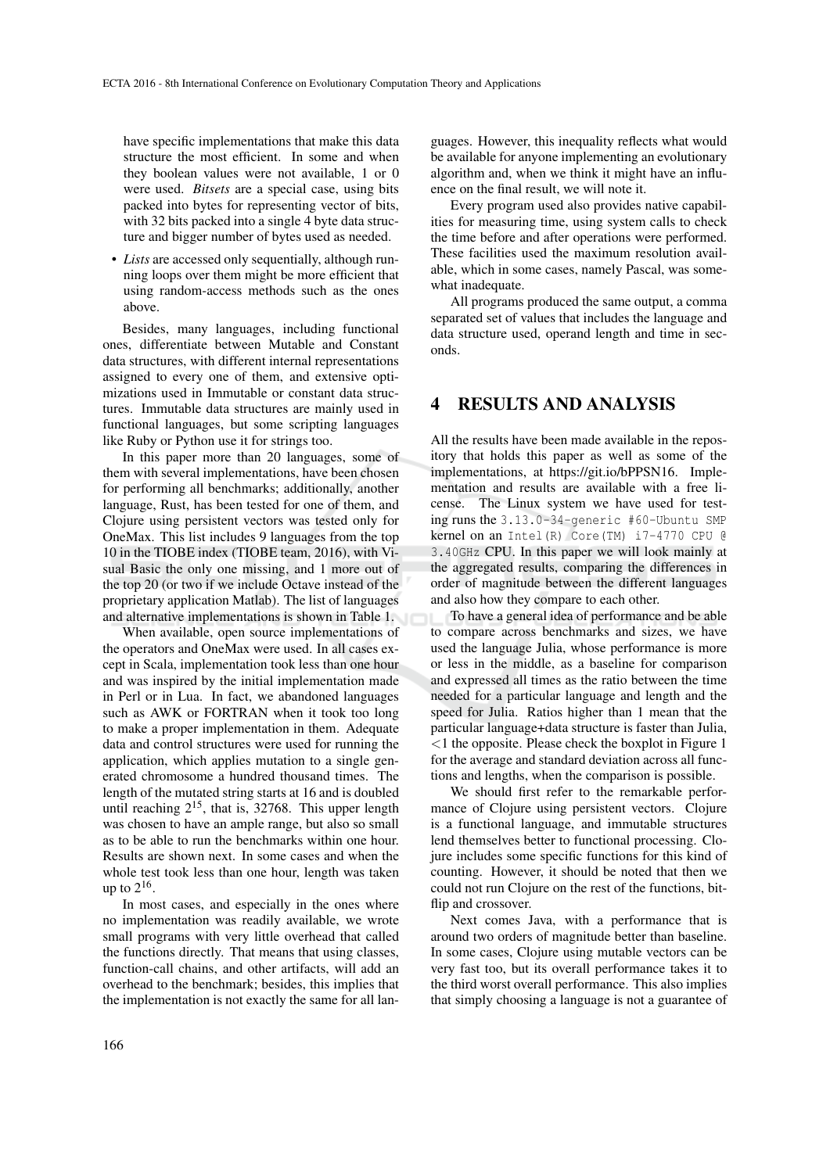have specific implementations that make this data structure the most efficient. In some and when they boolean values were not available, 1 or 0 were used. *Bitsets* are a special case, using bits packed into bytes for representing vector of bits, with 32 bits packed into a single 4 byte data structure and bigger number of bytes used as needed.

• *Lists* are accessed only sequentially, although running loops over them might be more efficient that using random-access methods such as the ones above.

Besides, many languages, including functional ones, differentiate between Mutable and Constant data structures, with different internal representations assigned to every one of them, and extensive optimizations used in Immutable or constant data structures. Immutable data structures are mainly used in functional languages, but some scripting languages like Ruby or Python use it for strings too.

In this paper more than 20 languages, some of them with several implementations, have been chosen for performing all benchmarks; additionally, another language, Rust, has been tested for one of them, and Clojure using persistent vectors was tested only for OneMax. This list includes 9 languages from the top 10 in the TIOBE index (TIOBE team, 2016), with Visual Basic the only one missing, and 1 more out of the top 20 (or two if we include Octave instead of the proprietary application Matlab). The list of languages and alternative implementations is shown in Table 1.

When available, open source implementations of the operators and OneMax were used. In all cases except in Scala, implementation took less than one hour and was inspired by the initial implementation made in Perl or in Lua. In fact, we abandoned languages such as AWK or FORTRAN when it took too long to make a proper implementation in them. Adequate data and control structures were used for running the application, which applies mutation to a single generated chromosome a hundred thousand times. The length of the mutated string starts at 16 and is doubled until reaching  $2^{15}$ , that is, 32768. This upper length was chosen to have an ample range, but also so small as to be able to run the benchmarks within one hour. Results are shown next. In some cases and when the whole test took less than one hour, length was taken up to  $2^{16}$ .

In most cases, and especially in the ones where no implementation was readily available, we wrote small programs with very little overhead that called the functions directly. That means that using classes, function-call chains, and other artifacts, will add an overhead to the benchmark; besides, this implies that the implementation is not exactly the same for all lan-

guages. However, this inequality reflects what would be available for anyone implementing an evolutionary algorithm and, when we think it might have an influence on the final result, we will note it.

Every program used also provides native capabilities for measuring time, using system calls to check the time before and after operations were performed. These facilities used the maximum resolution available, which in some cases, namely Pascal, was somewhat inadequate.

All programs produced the same output, a comma separated set of values that includes the language and data structure used, operand length and time in seconds.

# 4 RESULTS AND ANALYSIS

All the results have been made available in the repository that holds this paper as well as some of the implementations, at https://git.io/bPPSN16. Implementation and results are available with a free license. The Linux system we have used for testing runs the 3.13.0-34-generic #60-Ubuntu SMP kernel on an Intel(R) Core(TM) i7-4770 CPU @ 3.40GHz CPU. In this paper we will look mainly at the aggregated results, comparing the differences in order of magnitude between the different languages and also how they compare to each other.

To have a general idea of performance and be able to compare across benchmarks and sizes, we have used the language Julia, whose performance is more or less in the middle, as a baseline for comparison and expressed all times as the ratio between the time needed for a particular language and length and the speed for Julia. Ratios higher than 1 mean that the particular language+data structure is faster than Julia, <1 the opposite. Please check the boxplot in Figure 1 for the average and standard deviation across all functions and lengths, when the comparison is possible.

We should first refer to the remarkable performance of Clojure using persistent vectors. Clojure is a functional language, and immutable structures lend themselves better to functional processing. Clojure includes some specific functions for this kind of counting. However, it should be noted that then we could not run Clojure on the rest of the functions, bitflip and crossover.

Next comes Java, with a performance that is around two orders of magnitude better than baseline. In some cases, Clojure using mutable vectors can be very fast too, but its overall performance takes it to the third worst overall performance. This also implies that simply choosing a language is not a guarantee of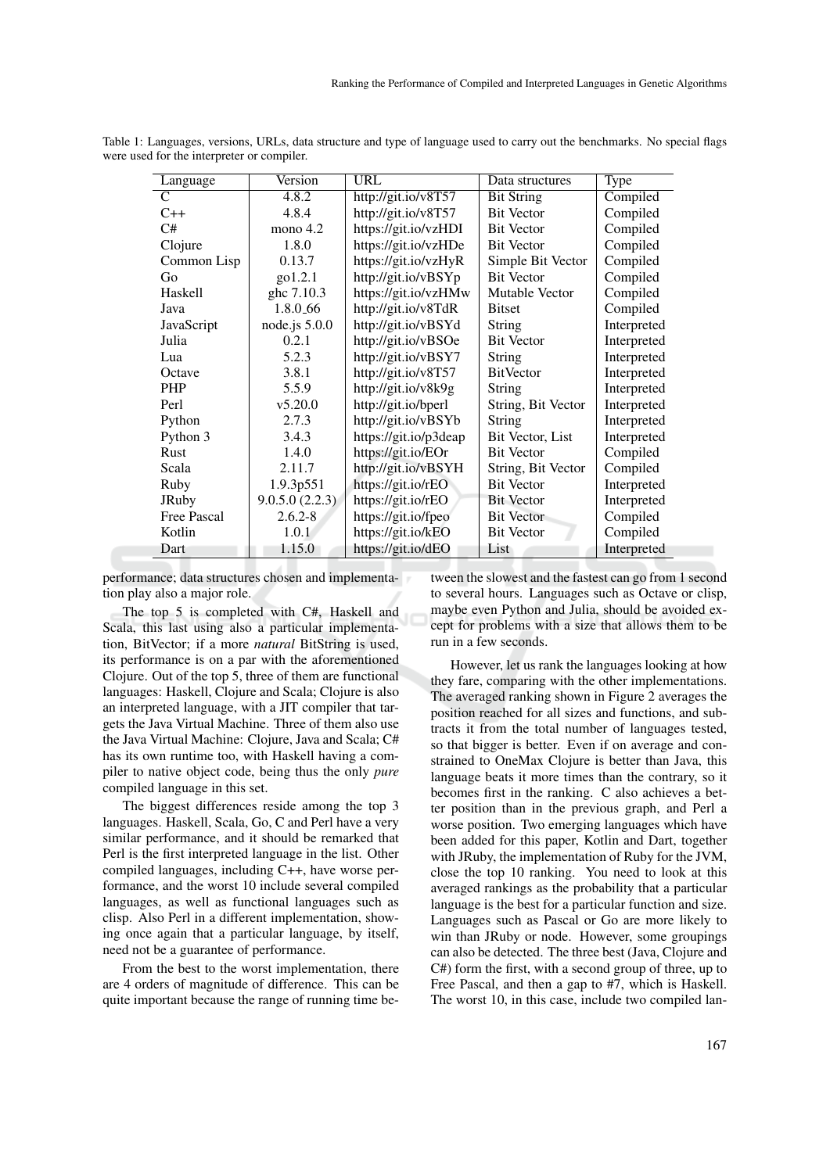| Language           | Version         | <b>URL</b>            | Data structures    | Type        |
|--------------------|-----------------|-----------------------|--------------------|-------------|
| C                  | 4.8.2           | http://git.io/v8T57   | <b>Bit String</b>  | Compiled    |
| $C++$              | 4.8.4           | http://git.io/v8T57   | <b>Bit Vector</b>  | Compiled    |
| C#                 | mono $4.2$      | https://git.io/vzHDI  | <b>Bit Vector</b>  | Compiled    |
| Clojure            | 1.8.0           | https://git.io/vzHDe  | <b>Bit Vector</b>  | Compiled    |
| Common Lisp        | 0.13.7          | https://git.io/vzHyR  | Simple Bit Vector  | Compiled    |
| Go                 | go1.2.1         | http://git.io/vBSYp   | <b>Bit Vector</b>  | Compiled    |
| Haskell            | ghc 7.10.3      | https://git.io/vzHMw  | Mutable Vector     | Compiled    |
| Java               | 1.8.0.66        | http://git.io/v8TdR   | <b>Bitset</b>      | Compiled    |
| JavaScript         | node.js $5.0.0$ | http://git.io/vBSYd   | <b>String</b>      | Interpreted |
| Julia              | 0.2.1           | http://git.io/vBSOe   | <b>Bit Vector</b>  | Interpreted |
| Lua                | 5.2.3           | http://git.io/vBSY7   | <b>String</b>      | Interpreted |
| Octave             | 3.8.1           | http://git.io/v8T57   | BitVector          | Interpreted |
| <b>PHP</b>         | 5.5.9           | http://git.io/v8k9g   | String             | Interpreted |
| Perl               | v5.20.0         | http://git.io/bperl   | String, Bit Vector | Interpreted |
| Python             | 2.7.3           | http://git.io/vBSYb   | String             | Interpreted |
| Python 3           | 3.4.3           | https://git.io/p3deap | Bit Vector, List   | Interpreted |
| Rust               | 1.4.0           | https://git.io/EOr    | <b>Bit Vector</b>  | Compiled    |
| Scala              | 2.11.7          | http://git.io/vBSYH   | String, Bit Vector | Compiled    |
| Ruby               | 1.9.3p551       | https://git.io/rEO    | <b>Bit Vector</b>  | Interpreted |
| <b>JRuby</b>       | 9.0.5.0(2.2.3)  | https://git.io/rEO    | <b>Bit Vector</b>  | Interpreted |
| <b>Free Pascal</b> | $2.6.2 - 8$     | https://git.io/fpeo   | <b>Bit Vector</b>  | Compiled    |
| Kotlin             | 1.0.1           | https://git.io/kEO    | <b>Bit Vector</b>  | Compiled    |
| Dart               | 1.15.0          | https://git.io/dEO    | List               | Interpreted |

Table 1: Languages, versions, URLs, data structure and type of language used to carry out the benchmarks. No special flags were used for the interpreter or compiler.

performance; data structures chosen and implementation play also a major role.

The top 5 is completed with C#, Haskell and Scala, this last using also a particular implementation, BitVector; if a more *natural* BitString is used, its performance is on a par with the aforementioned Clojure. Out of the top 5, three of them are functional languages: Haskell, Clojure and Scala; Clojure is also an interpreted language, with a JIT compiler that targets the Java Virtual Machine. Three of them also use the Java Virtual Machine: Clojure, Java and Scala; C# has its own runtime too, with Haskell having a compiler to native object code, being thus the only *pure* compiled language in this set.

The biggest differences reside among the top 3 languages. Haskell, Scala, Go, C and Perl have a very similar performance, and it should be remarked that Perl is the first interpreted language in the list. Other compiled languages, including C++, have worse performance, and the worst 10 include several compiled languages, as well as functional languages such as clisp. Also Perl in a different implementation, showing once again that a particular language, by itself, need not be a guarantee of performance.

From the best to the worst implementation, there are 4 orders of magnitude of difference. This can be quite important because the range of running time between the slowest and the fastest can go from 1 second to several hours. Languages such as Octave or clisp, maybe even Python and Julia, should be avoided except for problems with a size that allows them to be run in a few seconds.

However, let us rank the languages looking at how they fare, comparing with the other implementations. The averaged ranking shown in Figure 2 averages the position reached for all sizes and functions, and subtracts it from the total number of languages tested, so that bigger is better. Even if on average and constrained to OneMax Clojure is better than Java, this language beats it more times than the contrary, so it becomes first in the ranking. C also achieves a better position than in the previous graph, and Perl a worse position. Two emerging languages which have been added for this paper, Kotlin and Dart, together with JRuby, the implementation of Ruby for the JVM, close the top 10 ranking. You need to look at this averaged rankings as the probability that a particular language is the best for a particular function and size. Languages such as Pascal or Go are more likely to win than JRuby or node. However, some groupings can also be detected. The three best (Java, Clojure and C#) form the first, with a second group of three, up to Free Pascal, and then a gap to #7, which is Haskell. The worst 10, in this case, include two compiled lan-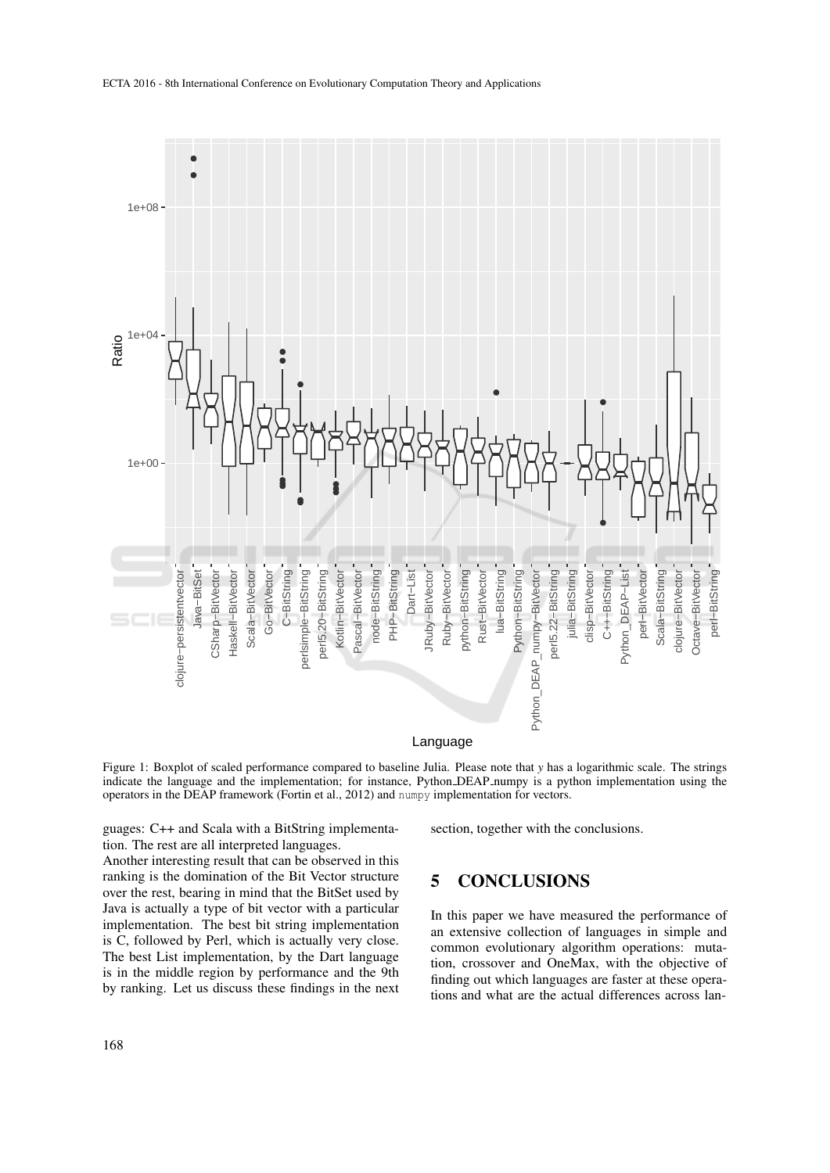

Figure 1: Boxplot of scaled performance compared to baseline Julia. Please note that *y* has a logarithmic scale. The strings indicate the language and the implementation; for instance, Python DEAP numpy is a python implementation using the operators in the DEAP framework (Fortin et al., 2012) and numpy implementation for vectors.

guages: C++ and Scala with a BitString implementation. The rest are all interpreted languages.

Another interesting result that can be observed in this ranking is the domination of the Bit Vector structure over the rest, bearing in mind that the BitSet used by Java is actually a type of bit vector with a particular implementation. The best bit string implementation is C, followed by Perl, which is actually very close. The best List implementation, by the Dart language is in the middle region by performance and the 9th by ranking. Let us discuss these findings in the next section, together with the conclusions.

# 5 CONCLUSIONS

In this paper we have measured the performance of an extensive collection of languages in simple and common evolutionary algorithm operations: mutation, crossover and OneMax, with the objective of finding out which languages are faster at these operations and what are the actual differences across lan-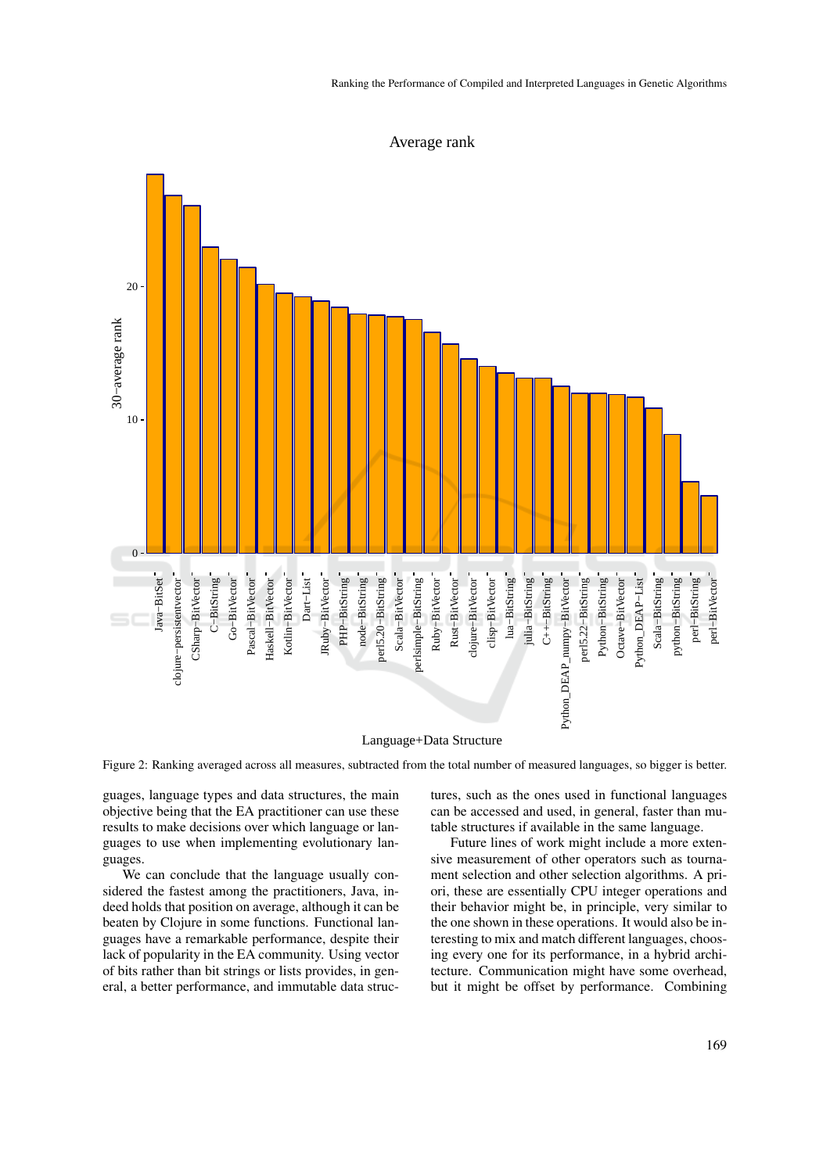

Average rank

Figure 2: Ranking averaged across all measures, subtracted from the total number of measured languages, so bigger is better.

guages, language types and data structures, the main objective being that the EA practitioner can use these results to make decisions over which language or languages to use when implementing evolutionary languages.

We can conclude that the language usually considered the fastest among the practitioners, Java, indeed holds that position on average, although it can be beaten by Clojure in some functions. Functional languages have a remarkable performance, despite their lack of popularity in the EA community. Using vector of bits rather than bit strings or lists provides, in general, a better performance, and immutable data structures, such as the ones used in functional languages can be accessed and used, in general, faster than mutable structures if available in the same language.

Future lines of work might include a more extensive measurement of other operators such as tournament selection and other selection algorithms. A priori, these are essentially CPU integer operations and their behavior might be, in principle, very similar to the one shown in these operations. It would also be interesting to mix and match different languages, choosing every one for its performance, in a hybrid architecture. Communication might have some overhead, but it might be offset by performance. Combining